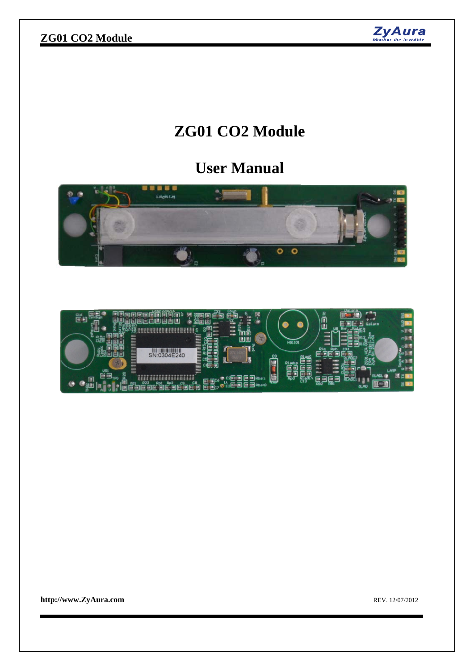## **ZG01 CO2 Module**



# **ZG01 CO2 Module**

# **User Manual**



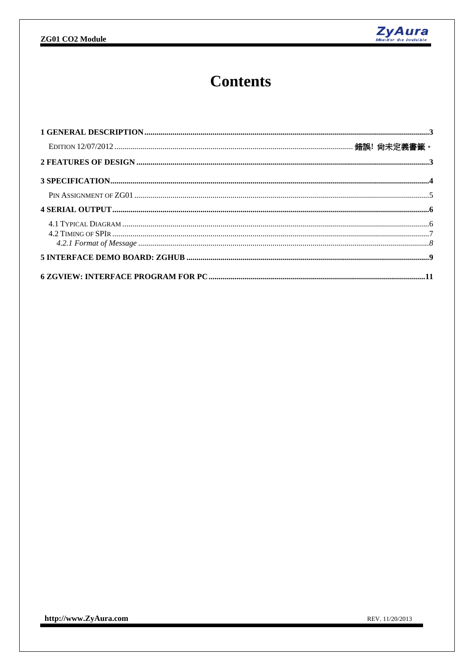

# **Contents**

REV. 11/20/2013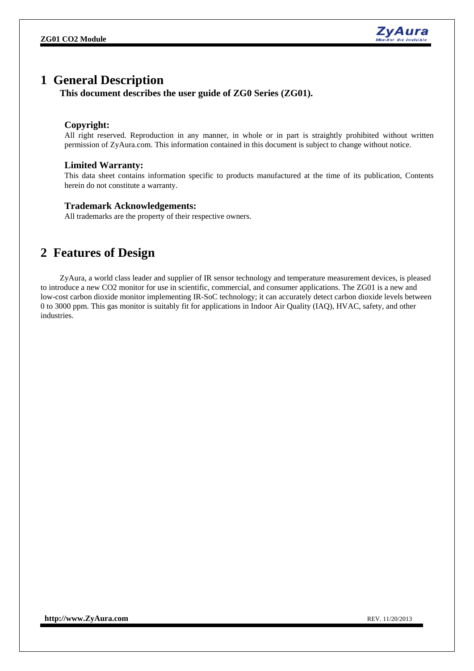

### **1 General Description**

**This document describes the user guide of ZG0 Series (ZG01).** 

### **Copyright:**

All right reserved. Reproduction in any manner, in whole or in part is straightly prohibited without written permission of ZyAura.com. This information contained in this document is subject to change without notice.

#### **Limited Warranty:**

This data sheet contains information specific to products manufactured at the time of its publication, Contents herein do not constitute a warranty.

#### **Trademark Acknowledgements:**

All trademarks are the property of their respective owners.

## **2 Features of Design**

ZyAura, a world class leader and supplier of IR sensor technology and temperature measurement devices, is pleased to introduce a new CO2 monitor for use in scientific, commercial, and consumer applications. The ZG01 is a new and low-cost carbon dioxide monitor implementing IR-SoC technology; it can accurately detect carbon dioxide levels between 0 to 3000 ppm. This gas monitor is suitably fit for applications in Indoor Air Quality (IAQ), HVAC, safety, and other industries.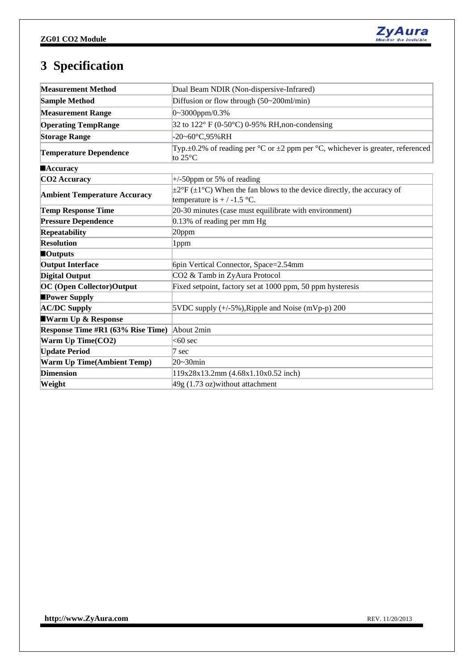

## **3 Specification**

| <b>Measurement Method</b>           | Dual Beam NDIR (Non-dispersive-Infrared)                                                                                    |  |  |  |  |  |
|-------------------------------------|-----------------------------------------------------------------------------------------------------------------------------|--|--|--|--|--|
| <b>Sample Method</b>                | Diffusion or flow through (50~200ml/min)                                                                                    |  |  |  |  |  |
| <b>Measurement Range</b>            | $0-3000$ ppm/0.3%                                                                                                           |  |  |  |  |  |
| <b>Operating TempRange</b>          | 32 to 122° F (0-50°C) 0-95% RH, non-condensing                                                                              |  |  |  |  |  |
| <b>Storage Range</b>                | -20~60°C,95%RH                                                                                                              |  |  |  |  |  |
| <b>Temperature Dependence</b>       | Typ. $\pm$ 0.2% of reading per °C or $\pm$ 2 ppm per °C, whichever is greater, referenced<br>to $25^{\circ}$ C              |  |  |  |  |  |
| <b>Accuracy</b>                     |                                                                                                                             |  |  |  |  |  |
| CO <sub>2</sub> Accuracy            | $\pm$ /-50 ppm or 5% of reading                                                                                             |  |  |  |  |  |
| <b>Ambient Temperature Accuracy</b> | $\pm 2^{\circ}F (\pm 1^{\circ}C)$ When the fan blows to the device directly, the accuracy of<br>temperature is $+/-1.5$ °C. |  |  |  |  |  |
| <b>Temp Response Time</b>           | 20-30 minutes (case must equilibrate with environment)                                                                      |  |  |  |  |  |
| <b>Pressure Dependence</b>          | 0.13% of reading per mm Hg                                                                                                  |  |  |  |  |  |
| Repeatability                       | 20ppm                                                                                                                       |  |  |  |  |  |
| <b>Resolution</b>                   | 1ppm                                                                                                                        |  |  |  |  |  |
| $\blacksquare$ Outputs              |                                                                                                                             |  |  |  |  |  |
| <b>Output Interface</b>             | 6pin Vertical Connector, Space=2.54mm                                                                                       |  |  |  |  |  |
| <b>Digital Output</b>               | CO2 & Tamb in ZyAura Protocol                                                                                               |  |  |  |  |  |
| <b>OC</b> (Open Collector)Output    | Fixed setpoint, factory set at 1000 ppm, 50 ppm hysteresis                                                                  |  |  |  |  |  |
| <b>Power Supply</b>                 |                                                                                                                             |  |  |  |  |  |
| <b>AC/DC Supply</b>                 | $5VDC$ supply $(+/-5\%)$ , Ripple and Noise (mVp-p) 200                                                                     |  |  |  |  |  |
| <b>Warm Up &amp; Response</b>       |                                                                                                                             |  |  |  |  |  |
| Response Time #R1 (63% Rise Time)   | About 2min                                                                                                                  |  |  |  |  |  |
| Warm Up Time(CO2)                   | $<$ 60 sec                                                                                                                  |  |  |  |  |  |
| <b>Update Period</b>                | $7 \text{ sec}$                                                                                                             |  |  |  |  |  |
| <b>Warm Up Time(Ambient Temp)</b>   | 20~30min                                                                                                                    |  |  |  |  |  |
| <b>Dimension</b>                    | 119x28x13.2mm (4.68x1.10x0.52 inch)                                                                                         |  |  |  |  |  |
| Weight                              | $49g(1.73 oz)$ without attachment                                                                                           |  |  |  |  |  |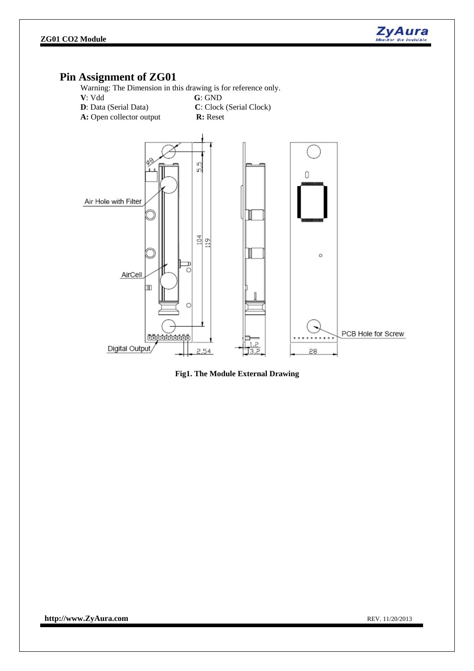

### **Pin Assignment of ZG01**

Warning: The Dimension in this drawing is for reference only.





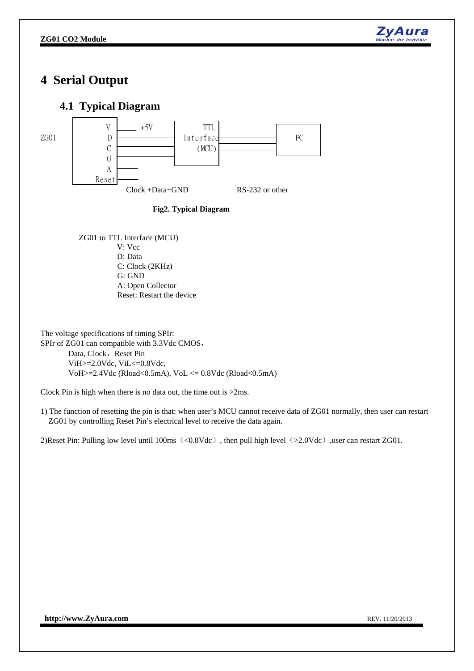

## **4 Serial Output**

### **4.1 Typical Diagram**



**Fig2. Typical Diagram** 

ZG01 to TTL Interface (MCU) V: Vcc D: Data C: Clock (2KHz) G: GND A: Open Collector Reset: Restart the device

The voltage specifications of timing SPIr: SPIr of ZG01 can compatible with 3.3Vdc CMOS, Data, Clock, Reset Pin ViH>=2.0Vdc, ViL<=0.8Vdc, VoH $>=$ 2.4Vdc (Rload<0.5mA), VoL  $<=$  0.8Vdc (Rload<0.5mA)

Clock Pin is high when there is no data out, the time out is >2ms.

1) The function of resetting the pin is that: when user's MCU cannot receive data of ZG01 normally, then user can restart ZG01 by controlling Reset Pin's electrical level to receive the data again.

2)Reset Pin: Pulling low level until 100ms (<0.8Vdc), then pull high level (>2.0Vdc), user can restart ZG01.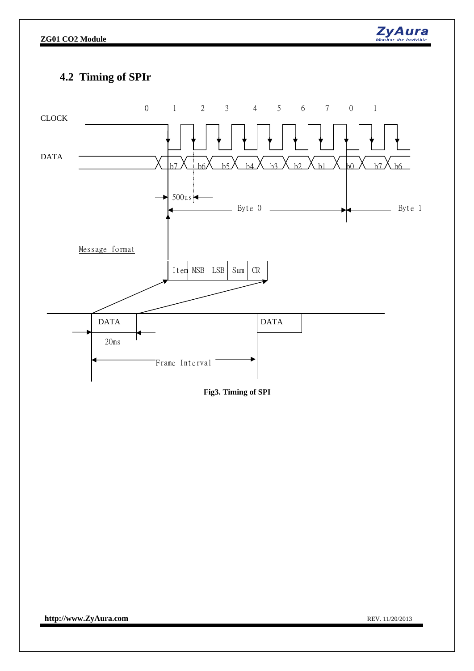

## **4.2 Timing of SPIr**



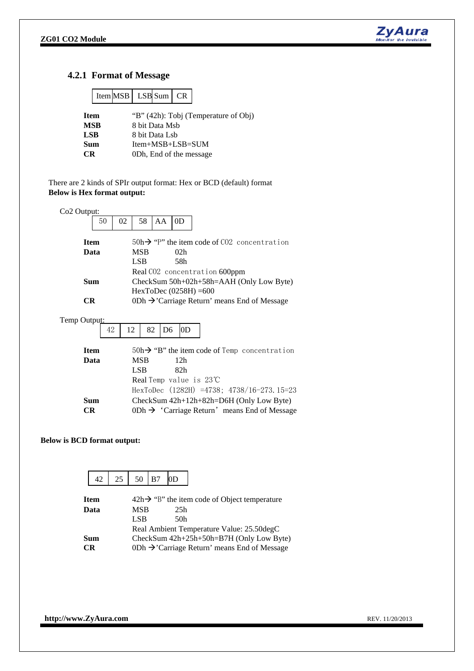

#### **4.2.1 Format of Message**

|            |                                                     | $ItemMSB$ $LSBSum$ $CR$ |  |  |  |  |  |  |  |  |
|------------|-----------------------------------------------------|-------------------------|--|--|--|--|--|--|--|--|
|            | "B" (42h): Tobj (Temperature of Obj)<br><b>Item</b> |                         |  |  |  |  |  |  |  |  |
|            | <b>MSB</b><br>8 bit Data Msb                        |                         |  |  |  |  |  |  |  |  |
| <b>LSB</b> |                                                     | 8 bit Data Lsb          |  |  |  |  |  |  |  |  |
| Sum        |                                                     | $Item+MSB+LSB=SUM$      |  |  |  |  |  |  |  |  |
| СR         |                                                     | 0Dh, End of the message |  |  |  |  |  |  |  |  |

 There are 2 kinds of SPIr output format: Hex or BCD (default) format **Below is Hex format output:** 



#### **Below is BCD format output:**

|           | 42          | $\frac{1}{25}$                           | 50 B7                                     |  | 10 <sub>D</sub> |                                                           |  |  |  |  |
|-----------|-------------|------------------------------------------|-------------------------------------------|--|-----------------|-----------------------------------------------------------|--|--|--|--|
|           | <b>Item</b> |                                          |                                           |  |                 | $42h \rightarrow$ "B" the item code of Object temperature |  |  |  |  |
|           | Data        |                                          | <b>MSB</b>                                |  | 25h             |                                                           |  |  |  |  |
|           |             |                                          | LSB                                       |  | 50h             |                                                           |  |  |  |  |
|           |             |                                          | Real Ambient Temperature Value: 25.50degC |  |                 |                                                           |  |  |  |  |
|           | <b>Sum</b>  | CheckSum 42h+25h+50h=B7H (Only Low Byte) |                                           |  |                 |                                                           |  |  |  |  |
| <b>CR</b> |             |                                          |                                           |  |                 | 0Dh $\rightarrow$ Carriage Return' means End of Message   |  |  |  |  |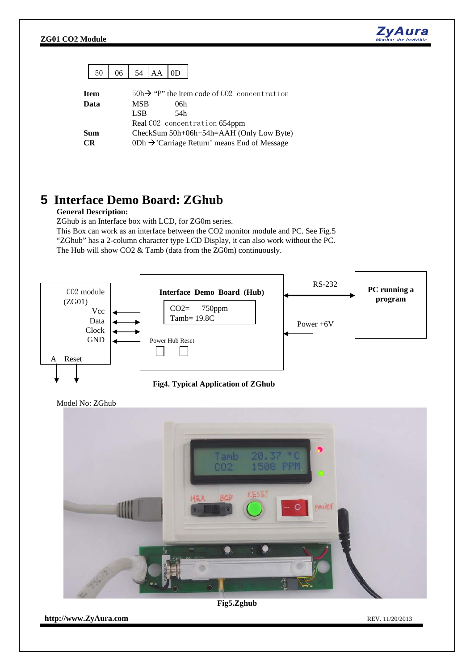

|           | 50                  | 06                                                                                                                                   |            | 54   AA | 0D                                                                     |  |  |  |  |  |  |
|-----------|---------------------|--------------------------------------------------------------------------------------------------------------------------------------|------------|---------|------------------------------------------------------------------------|--|--|--|--|--|--|
|           | <b>Item</b><br>Data |                                                                                                                                      | MSB<br>LSB |         | $50h \rightarrow$ "P" the item code of CO2 concentration<br>06h<br>54h |  |  |  |  |  |  |
| <b>CR</b> | Sum                 | Real CO2 concentration 654ppm<br>CheckSum 50h+06h+54h=AAH (Only Low Byte)<br>0Dh $\rightarrow$ Carriage Return' means End of Message |            |         |                                                                        |  |  |  |  |  |  |

## **5 Interface Demo Board: ZGhub**

#### **General Description:**

ZGhub is an Interface box with LCD, for ZG0m series.

This Box can work as an interface between the CO2 monitor module and PC. See Fig.5 "ZGhub" has a 2-column character type LCD Display, it can also work without the PC. The Hub will show CO2 & Tamb (data from the ZG0m) continuously.





Model No: ZGhub



**Fig5.Zghub**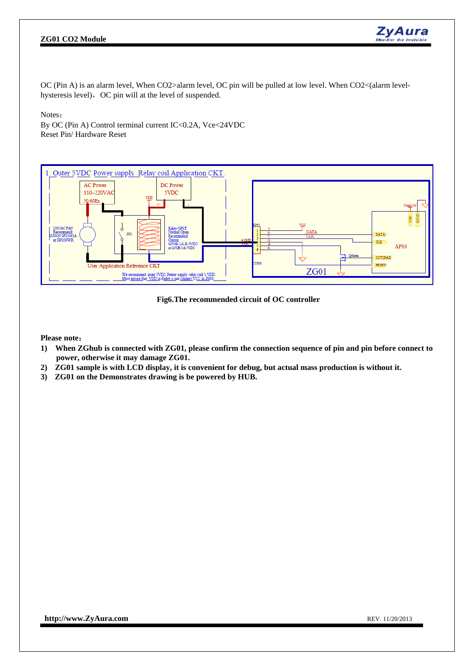#### **ZG01 CO2 Module**



OC (Pin A) is an alarm level, When CO2>alarm level, OC pin will be pulled at low level. When CO2<(alarm levelhysteresis level), OC pin will at the level of suspended.

Notes:

By OC (Pin A) Control terminal current IC<0.2A, Vce<24VDC Reset Pin/ Hardware Reset



**Fig6.The recommended circuit of OC controller** 

**Please note**:

- **1) When ZGhub is connected with ZG01, please confirm the connection sequence of pin and pin before connect to power, otherwise it may damage ZG01.**
- **2) ZG01 sample is with LCD display, it is convenient for debug, but actual mass production is without it.**
- **3) ZG01 on the Demonstrates drawing is be powered by HUB.**